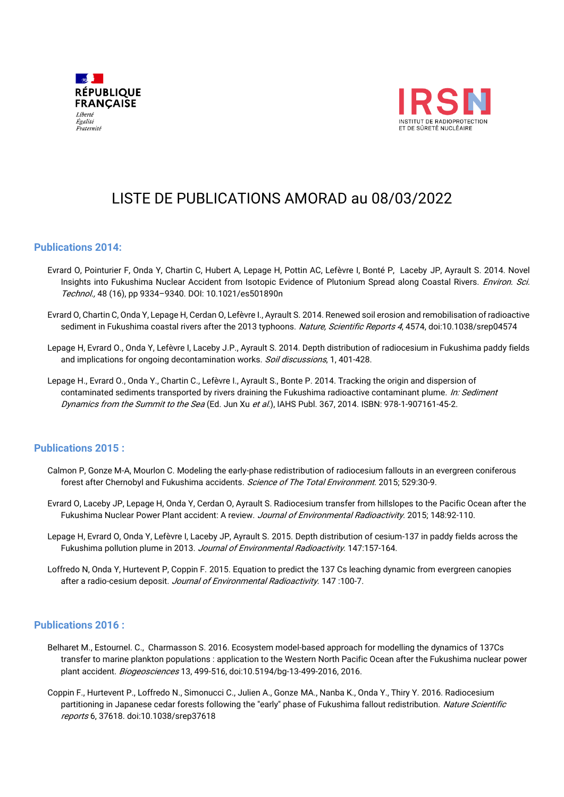



# LISTE DE PUBLICATIONS AMORAD au 08/03/2022

## **Publications 2014:**

- Evrard O, Pointurier F, Onda Y, Chartin C, Hubert A, Lepage H, Pottin AC, Lefèvre I, Bonté P, Laceby JP, Ayrault S. 2014. Novel Insights into Fukushima Nuclear Accident from Isotopic Evidence of Plutonium Spread along Coastal Rivers. Environ. Sci. Technol., 48 (16), pp 9334–9340. DOI: 10.1021/es501890n
- Evrard O, Chartin C, Onda Y, Lepage H, Cerdan O, Lefèvre I., Ayrault S. 2014. Renewed soil erosion and remobilisation of radioactive sediment in Fukushima coastal rivers after the 2013 typhoons. Nature, Scientific Reports 4, 4574, doi:10.1038/srep04574
- Lepage H, Evrard O., Onda Y, Lefèvre I, Laceby J.P., Ayrault S. 2014. Depth distribution of radiocesium in Fukushima paddy fields and implications for ongoing decontamination works. Soil discussions, 1, 401-428.
- Lepage H., Evrard O., Onda Y., Chartin C., Lefèvre I., Ayrault S., Bonte P. 2014. Tracking the origin and dispersion of contaminated sediments transported by rivers draining the Fukushima radioactive contaminant plume. In: Sediment Dynamics from the Summit to the Sea (Ed. Jun Xu et al.), IAHS Publ. 367, 2014. ISBN: 978-1-907161-45-2.

## **Publications 2015 :**

- Calmon P, Gonze M-A, Mourlon C. Modeling the early-phase redistribution of radiocesium fallouts in an evergreen coniferous forest after Chernobyl and Fukushima accidents. Science of The Total Environment. 2015; 529:30-9.
- Evrard O, Laceby JP, Lepage H, Onda Y, Cerdan O, Ayrault S. Radiocesium transfer from hillslopes to the Pacific Ocean after the Fukushima Nuclear Power Plant accident: A review. Journal of Environmental Radioactivity. 2015; 148:92-110.
- Lepage H, Evrard O, Onda Y, Lefèvre I, Laceby JP, Ayrault S. 2015. Depth distribution of cesium-137 in paddy fields across the Fukushima pollution plume in 2013. Journal of Environmental Radioactivity. 147:157-164.
- Loffredo N, Onda Y, Hurtevent P, Coppin F. 2015. Equation to predict the 137 Cs leaching dynamic from evergreen canopies after a radio-cesium deposit. Journal of Environmental Radioactivity. 147:100-7.

## **Publications 2016 :**

- Belharet M., Estournel. C., Charmasson S. 2016. Ecosystem model-based approach for modelling the dynamics of 137Cs transfer to marine plankton populations : application to the Western North Pacific Ocean after the Fukushima nuclear power plant accident. Biogeosciences 13, 499-516, doi:10.5194/bg-13-499-2016, 2016.
- Coppin F., Hurtevent P., Loffredo N., Simonucci C., Julien A., Gonze MA., Nanba K., Onda Y., Thiry Y. 2016. Radiocesium partitioning in Japanese cedar forests following the "early" phase of Fukushima fallout redistribution. Nature Scientific reports 6, 37618. doi:10.1038/srep37618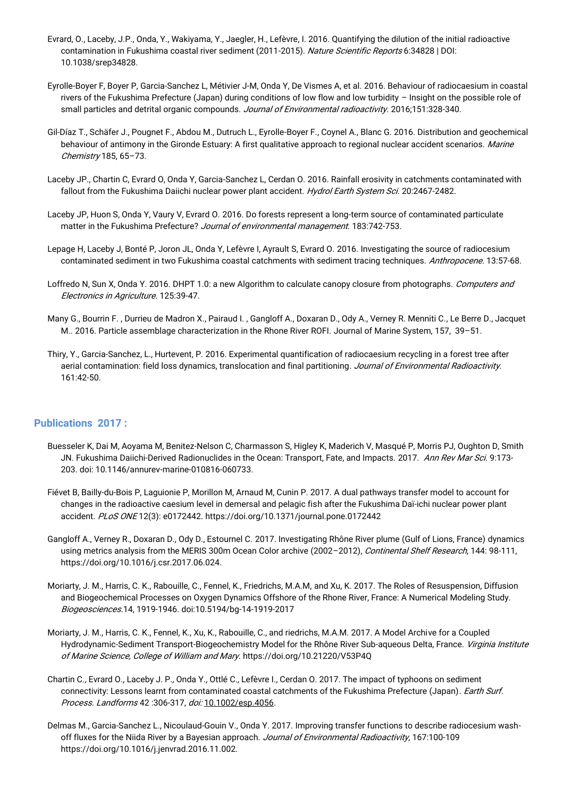- Evrard, O., Laceby, J.P., Onda, Y., Wakiyama, Y., Jaegler, H., Lefèvre, I. 2016. Quantifying the dilution of the initial radioactive contamination in Fukushima coastal river sediment (2011-2015). Nature Scientific Reports 6:34828 | DOI: 10.1038/srep34828.
- Eyrolle-Boyer F, Boyer P, Garcia-Sanchez L, Métivier J-M, Onda Y, De Vismes A, et al. 2016. Behaviour of radiocaesium in coastal rivers of the Fukushima Prefecture (Japan) during conditions of low flow and low turbidity – Insight on the possible role of small particles and detrital organic compounds. Journal of Environmental radioactivity. 2016;151:328-340.
- Gil-Díaz T., Schäfer J., Pougnet F., Abdou M., Dutruch L., Eyrolle-Boyer F., Coynel A., Blanc G. 2016. Distribution and geochemical behaviour of antimony in the Gironde Estuary: A first qualitative approach to regional nuclear accident scenarios. Marine Chemistry 185, 65–73.
- Laceby JP., Chartin C, Evrard O, Onda Y, Garcia-Sanchez L, Cerdan O. 2016. Rainfall erosivity in catchments contaminated with fallout from the Fukushima Daiichi nuclear power plant accident. Hydrol Earth System Sci. 20:2467-2482.
- Laceby JP, Huon S, Onda Y, Vaury V, Evrard O. 2016. Do forests represent a long-term source of contaminated particulate matter in the Fukushima Prefecture? Journal of environmental management. 183:742-753.
- Lepage H, Laceby J, Bonté P, Joron JL, Onda Y, Lefèvre I, Ayrault S, Evrard O. 2016. Investigating the source of radiocesium contaminated sediment in two Fukushima coastal catchments with sediment tracing techniques. Anthropocene. 13:57-68.
- Loffredo N, Sun X, Onda Y. 2016. DHPT 1.0: a new Algorithm to calculate canopy closure from photographs. Computers and Electronics in Agriculture. 125:39-47.
- Many G., Bourrin F. , Durrieu de Madron X., Pairaud I. , Gangloff A., Doxaran D., Ody A., Verney R. Menniti C., Le Berre D., Jacquet M.. 2016. Particle assemblage characterization in the Rhone River ROFI. Journal of Marine System, 157, 39–51.
- Thiry, Y., Garcia-Sanchez, L., Hurtevent, P. 2016. Experimental quantification of radiocaesium recycling in a forest tree after aerial contamination: field loss dynamics, translocation and final partitioning. Journal of Environmental Radioactivity. 161:42-50.

## **Publications 2017 :**

- Buesseler K, Dai M, Aoyama M, Benitez-Nelson C, Charmasson S, Higley K, Maderich V, Masqué P, Morris PJ, Oughton D, Smith JN. Fukushima Daiichi-Derived Radionuclides in the Ocean: Transport, Fate, and Impacts. 2017. Ann Rev Mar Sci. 9:173-203. doi: 10.1146/annurev-marine-010816-060733.
- Fiévet B, Bailly-du-Bois P, Laguionie P, Morillon M, Arnaud M, Cunin P. 2017. A dual pathways transfer model to account for changes in the radioactive caesium level in demersal and pelagic fish after the Fukushima Daï-ichi nuclear power plant accident. PLoS ONE 12(3): e0172442.<https://doi.org/10.1371/journal.pone.0172442>
- Gangloff A., Verney R., Doxaran D., Ody D., Estournel C. 2017. Investigating Rhône River plume (Gulf of Lions, France) dynamics using metrics analysis from the MERIS 300m Ocean Color archive (2002-2012), Continental Shelf Research, 144: 98-111, [https://doi.org/10.1016/j.csr.2017.06.024.](https://doi.org/10.1016/j.csr.2017.06.024)
- Moriarty, J. M., Harris, C. K., Rabouille, C., Fennel, K., Friedrichs, M.A.M, and Xu, K. 2017. The Roles of Resuspension, Diffusion and Biogeochemical Processes on Oxygen Dynamics Offshore of the Rhone River, France: A Numerical Modeling Study. Biogeosciences.14, 1919-1946. doi:10.5194/bg-14-1919-2017
- Moriarty, J. M., Harris, C. K., Fennel, K., Xu, K., Rabouille, C., and riedrichs, M.A.M. 2017. A Model Archive for a Coupled Hydrodynamic-Sediment Transport-Biogeochemistry Model for the Rhône River Sub-aqueous Delta, France. Virginia Institute of Marine Science, College of William and Mary[. https://doi.org/10.21220/V53P4Q](https://doi.org/10.21220/V53P4Q)
- Chartin C., Evrard O., Laceby J. P., Onda Y., Ottlé C., Lefèvre I., Cerdan O. 2017. The impact of typhoons on sediment connectivity: Lessons learnt from contaminated coastal catchments of the Fukushima Prefecture (Japan). *Earth Surf.* Process. Landforms 42 :306-317, doi: [10.1002/esp.4056](http://dx.doi.org/10.1002/esp.4056).
- Delmas M., Garcia-Sanchez L., Nicoulaud-Gouin V., Onda Y. 2017. Improving transfer functions to describe radiocesium washoff fluxes for the Niida River by a Bayesian approach. Journal of Environmental Radioactivity, 167:100-109 https://doi.org/10.1016/j.jenvrad.2016.11.002.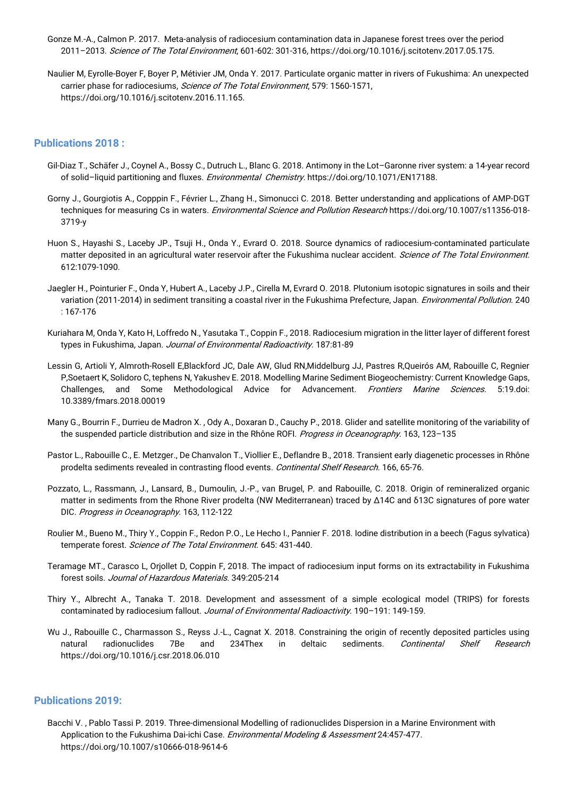- Gonze M.-A., Calmon P. 2017. Meta-analysis of radiocesium contamination data in Japanese forest trees over the period 2011–2013. Science of The Total Environment, 601-602: 301-316, https://doi.org/10.1016/j.scitotenv.2017.05.175.
- Naulier M, Eyrolle-Boyer F, Boyer P, Métivier JM, Onda Y. 2017. Particulate organic matter in rivers of Fukushima: An unexpected carrier phase for radiocesiums, Science of The Total Environment, 579: 1560-1571, https://doi.org/10.1016/j.scitotenv.2016.11.165.

## **Publications 2018 :**

- Gil-Diaz T., Schäfer J., Coynel A., Bossy C., Dutruch L., Blanc G. 2018. Antimony in the Lot–Garonne river system: a 14-year record of solid–liquid partitioning and fluxes. Environmental Chemistry. [https://doi.org/10.1071/EN17188.](https://doi.org/10.1071/EN17188)
- Gorny J., Gourgiotis A., Copppin F., Février L., Zhang H., Simonucci C. 2018. Better understanding and applications of AMP-DGT techniques for measuring Cs in waters. Environmental Science and Pollution Research https://doi.org/10.1007/s11356-018-3719-y
- Huon S., Hayashi S., Laceby JP., Tsuji H., Onda Y., Evrard O. 2018. Source dynamics of radiocesium-contaminated particulate matter deposited in an agricultural water reservoir after the Fukushima nuclear accident. Science of The Total Environment. 612:1079-1090.
- Jaegler H., Pointurier F., Onda Y, Hubert A., Laceby J.P., Cirella M, Evrard O. 2018. Plutonium isotopic signatures in soils and their variation (2011-2014) in sediment transiting a coastal river in the Fukushima Prefecture, Japan. *Environmental Pollution*. 240 : 167-176
- Kuriahara M, Onda Y, Kato H, Loffredo N., Yasutaka T., Coppin F., 2018. Radiocesium migration in the litter layer of different forest types in Fukushima, Japan. Journal of Environmental Radioactivity. 187:81-89
- Lessin G, Artioli Y, Almroth-Rosell E,Blackford JC, Dale AW, Glud RN,Middelburg JJ, Pastres R,Queirós AM, Rabouille C, Regnier P,Soetaert K, Solidoro C, tephens N, Yakushev E. 2018. Modelling Marine Sediment Biogeochemistry: Current Knowledge Gaps, Challenges, and Some Methodological Advice for Advancement. Frontiers Marine Sciences. 5:19.doi: 10.3389/fmars.2018.00019
- Many G., Bourrin F., Durrieu de Madron X. , Ody A., Doxaran D., Cauchy P., 2018. Glider and satellite monitoring of the variability of the suspended particle distribution and size in the Rhône ROFI. Progress in Oceanography. 163, 123-135
- Pastor L., Rabouille C., E. Metzger., De Chanvalon T., Viollier E., Deflandre B., 2018. Transient early diagenetic processes in Rhône prodelta sediments revealed in contrasting flood events. Continental Shelf Research. 166, 65-76.
- Pozzato, L., Rassmann, J., Lansard, B., Dumoulin, J.-P., van Brugel, P. and Rabouille, C. 2018. Origin of remineralized organic matter in sediments from the Rhone River prodelta (NW Mediterranean) traced by Δ14C and δ13C signatures of pore water DIC. Progress in Oceanography. 163, 112-122
- Roulier M., Bueno M., Thiry Y., Coppin F., Redon P.O., Le Hecho I., Pannier F. 2018. Iodine distribution in a beech (Fagus sylvatica) temperate forest. Science of The Total Environment. 645: 431-440.
- Teramage MT., Carasco L, Orjollet D, Coppin F, 2018. The impact of radiocesium input forms on its extractability in Fukushima forest soils. Journal of Hazardous Materials. 349:205-214
- Thiry Y., Albrecht A., Tanaka T. 2018. Development and assessment of a simple ecological model (TRIPS) for forests contaminated by radiocesium fallout. Journal of Environmental Radioactivity. 190-191: 149-159.
- Wu J., Rabouille C., Charmasson S., Reyss J.-L., Cagnat X. 2018. Constraining the origin of recently deposited particles using natural radionuclides 7Be and 234Thex in deltaic sediments. Continental Shelf Research https://doi.org/10.1016/j.csr.2018.06.010

## **Publications 2019:**

Bacchi V. , Pablo Tassi P. 2019. Three-dimensional Modelling of radionuclides Dispersion in a Marine Environment with Application to the Fukushima Dai-ichi Case. Environmental Modeling & Assessment 24:457-477. <https://doi.org/10.1007/s10666-018-9614-6>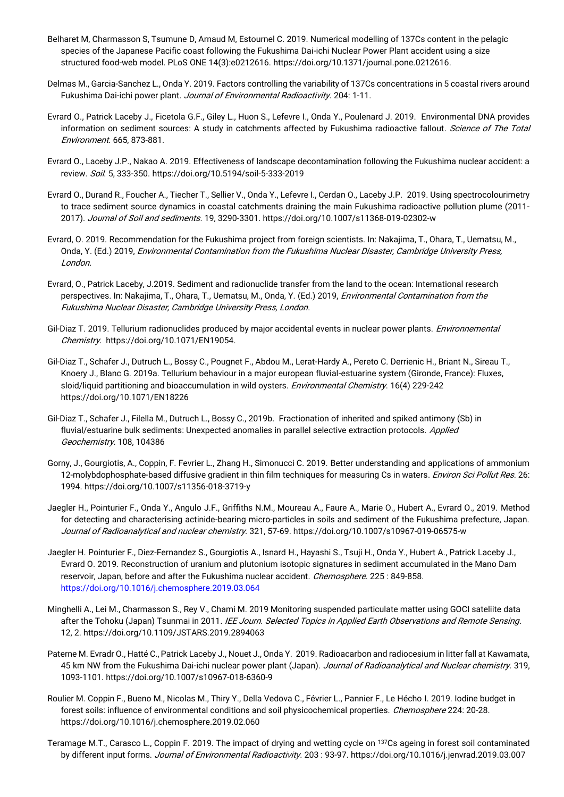- Belharet M, Charmasson S, Tsumune D, Arnaud M, Estournel C. 2019. Numerical modelling of 137Cs content in the pelagic species of the Japanese Pacific coast following the Fukushima Dai-ichi Nuclear Power Plant accident using a size structured food-web model. PLoS ONE 14(3):e0212616[. https://doi.org/10.1371/journal.pone.0212616.](https://doi.org/10.1371/journal.pone.0212616)
- Delmas M., Garcia-Sanchez L., Onda Y. 2019. Factors controlling the variability of 137Cs concentrations in 5 coastal rivers around Fukushima Dai-ichi power plant. Journal of Environmental Radioactivity. 204: 1-11.
- Evrard O., Patrick Laceby J., Ficetola G.F., Giley L., Huon S., Lefevre I., Onda Y., Poulenard J. 2019. Environmental DNA provides information on sediment sources: A study in catchments affected by Fukushima radioactive fallout. Science of The Total [Environment](https://www.sciencedirect.com/science/journal/00489697). [665,](https://www.sciencedirect.com/science/journal/00489697/665/supp/C) 873-881.
- Evrard O., Laceby J.P., Nakao A. 2019. Effectiveness of landscape decontamination following the Fukushima nuclear accident: a review. Soil. 5, 333-350[. https://doi.org/10.5194/soil-5-333-2019](https://doi.org/10.5194/soil-5-333-2019)
- Evrard O., Durand R., Foucher A., Tiecher T., Sellier V., Onda Y., Lefevre I., Cerdan O., Laceby J.P. 2019. Using spectrocolourimetry to trace sediment source dynamics in coastal catchments draining the main Fukushima radioactive pollution plume (2011- 2017). Journal of Soil and sediments. 19, 3290-3301[. https://doi.org/10.1007/s11368-019-02302-w](https://doi.org/10.1007/s11368-019-02302-w)
- Evrard, O. 2019. Recommendation for the Fukushima project from foreign scientists. In: Nakajima, T., Ohara, T., Uematsu, M., Onda, Y. (Ed.) 2019, Environmental Contamination from the Fukushima Nuclear Disaster, Cambridge University Press, London.
- Evrard, O., Patrick Laceby, J.2019. Sediment and radionuclide transfer from the land to the ocean: International research perspectives. In: Nakajima, T., Ohara, T., Uematsu, M., Onda, Y. (Ed.) 2019, *Environmental Contamination from the* Fukushima Nuclear Disaster, Cambridge University Press, London.
- Gil-Diaz T. 2019. Tellurium radionuclides produced by major accidental events in nuclear power plants. *Environnemental* Chemistry. [https://doi.org/10.1071/EN19054.](https://doi.org/10.1071/EN19054)
- Gil-Diaz T., Schafer J., Dutruch L., Bossy C., Pougnet F., Abdou M., Lerat-Hardy A., Pereto C. Derrienic H., Briant N., Sireau T., Knoery J., Blanc G. 2019a. Tellurium behaviour in a major european fluvial-estuarine system (Gironde, France): Fluxes, sloid/liquid partitioning and bioaccumulation in wild oysters. Environmental Chemistry. 16(4) 229-242 <https://doi.org/10.1071/EN18226>
- Gil-Diaz T., Schafer J., Filella M., Dutruch L., Bossy C., 2019b. Fractionation of inherited and spiked antimony (Sb) in fluvial/estuarine bulk sediments: Unexpected anomalies in parallel selective extraction protocols. Applied [Geochemistry](https://webmail.irsn.fr/owa/,DanaInfo=.awfdpenrGq02yLs5,SSL+redir.aspx?C=MXHNiwT0kvIkpJTE0a0bEQwlaQZaravqey7nmBM8XJWSe1V1CDzXCA..&URL=https%3a%2f%2fwww.sciencedirect.com%2fscience%2fjournal%2f08832927). [108,](https://webmail.irsn.fr/owa/,DanaInfo=.awfdpenrGq02yLs5,SSL+redir.aspx?C=EjErxqonLVgqCFRjD2d-BrObOvdCK1U57DZYKeT5Hz-Se1V1CDzXCA..&URL=https%3a%2f%2fwww.sciencedirect.com%2fscience%2fjournal%2f08832927%2f108%2fsupp%2fC) 104386
- Gorny, J., Gourgiotis, A., Coppin, F. Fevrier L., Zhang H., Simonucci C. 2019. Better understanding and applications of ammonium 12-molybdophosphate-based diffusive gradient in thin film techniques for measuring Cs in waters. *Environ Sci Pollut Res.* 26: 1994.<https://doi.org/10.1007/s11356-018-3719-y>
- Jaegler H., Pointurier F., Onda Y., Angulo J.F., Griffiths N.M., Moureau A., Faure A., Marie O., Hubert A., Evrard O., 2019. Method for detecting and characterising actinide-bearing micro-particles in soils and sediment of the Fukushima prefecture, Japan. Journal of Radioanalytical and nuclear chemistry. 321, 57-69.<https://doi.org/10.1007/s10967-019-06575-w>
- Jaegler H. Pointurier F., Diez-Fernandez S., Gourgiotis A., Isnard H., Hayashi S., Tsuji H., Onda Y., Hubert A., Patrick Laceby J., Evrard O. 2019. Reconstruction of uranium and plutonium isotopic signatures in sediment accumulated in the Mano Dam reservoir, Japan, before and after the Fukushima nuclear accident. Chemosphere. 225: 849-858. <https://doi.org/10.1016/j.chemosphere.2019.03.064>
- Minghelli A., Lei M., Charmasson S., Rey V., Chami M. 2019 Monitoring suspended particulate matter using GOCI sateliite data after the Tohoku (Japan) Tsunmai in 2011. IEE Journ. Selected Topics in Applied Earth Observations and Remote Sensing. 12, 2. https://doi.org[/10.1109/JSTARS.2019.2894063](https://webmail.irsn.fr/owa/,DanaInfo=.awfdpenrGq02yLs5,SSL+redir.aspx?C=X51xXJddeYUCOA8DvZtDiDsOFg_g_LByRVyyGo0h64CSe1V1CDzXCA..&URL=https%3a%2f%2fdoi.org%2f10.1109%2fJSTARS.2019.2894063)
- Paterne M. Evradr O., Hatté C., Patrick Laceby J., Nouet J., Onda Y. 2019. Radioacarbon and radiocesium in litter fall at Kawamata, 45 km NW from the Fukushima Dai-ichi nuclear power plant (Japan). Journal of Radioanalytical and Nuclear chemistry. 319, 1093-1101.<https://doi.org/10.1007/s10967-018-6360-9>
- Roulier M. Coppin F., Bueno M., Nicolas M., Thiry Y., Della Vedova C., Février L., Pannier F., Le Hécho I. 2019. Iodine budget in forest soils: influence of environmental conditions and soil physicochemical properties. Chemosphere 224: 20-28. <https://doi.org/10.1016/j.chemosphere.2019.02.060>
- Teramage M.T., Carasco L., Coppin F. 2019. The impact of drying and wetting cycle on <sup>137</sup>Cs ageing in forest soil contaminated by different input forms. Journal of Environmental Radioactivity. 203 : 93-97[. https://doi.org/10.1016/j.jenvrad.2019.03.007](https://doi.org/10.1016/j.jenvrad.2019.03.007)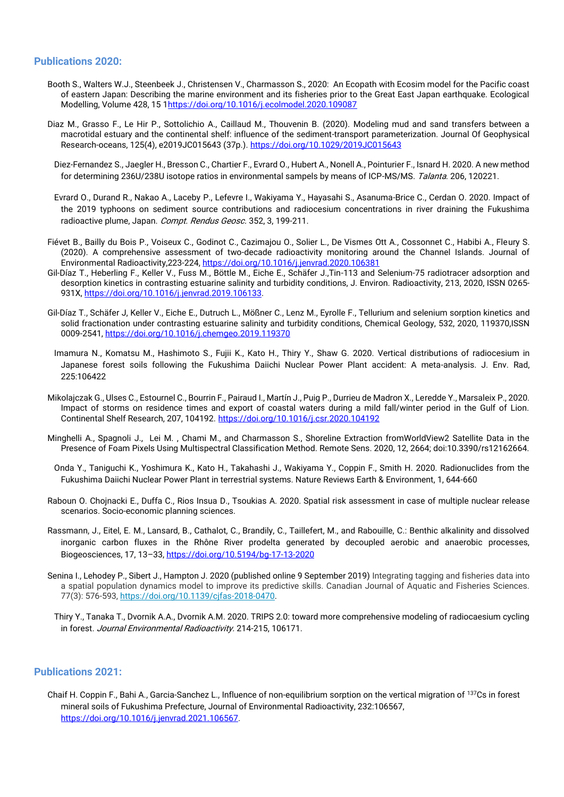## **Publications 2020:**

- Booth S., Walters W.J., Steenbeek J., Christensen V., Charmasson S., 2020: An Ecopath with Ecosim model for the Pacific coast of eastern Japan: Describing the marine environment and its fisheries prior to the Great East Japan earthquake. Ecological Modelling, Volume 428, 15 [1https://doi.org/10.1016/j.ecolmodel.2020.109087](https://doi.org/10.1016/j.ecolmodel.2020.109087)
- Diaz M., Grasso F., Le Hir P., Sottolichio A., Caillaud M., Thouvenin B. (2020). Modeling mud and sand transfers between a macrotidal estuary and the continental shelf: influence of the sediment-transport parameterization. Journal Of Geophysical Research-oceans, 125(4), e2019JC015643 (37p.).<https://doi.org/10.1029/2019JC015643>
	- Diez-Fernandez S., Jaegler H., Bresson C., Chartier F., Evrard O., Hubert A., Nonell A., Pointurier F., Isnard H. 2020. A new method for determining 236U/238U isotope ratios in environmental sampels by means of ICP-MS/MS. Talanta. 206, 120221.
- Evrard O., Durand R., Nakao A., Laceby P., Lefevre I., Wakiyama Y., Hayasahi S., Asanuma-Brice C., Cerdan O. 2020. Impact of the 2019 typhoons on sediment source contributions and radiocesium concentrations in river draining the Fukushima radioactive plume, Japan. Compt. Rendus Geosc. 352, 3, 199-211.
- Fiévet B., Bailly du Bois P., Voiseux C., Godinot C., Cazimajou O., Solier L., De Vismes Ott A., Cossonnet C., Habibi A., Fleury S. (2020). A comprehensive assessment of two-decade radioactivity monitoring around the Channel Islands. Journal of Environmental Radioactivity,223-224,<https://doi.org/10.1016/j.jenvrad.2020.106381>
- Gil-Díaz T., Heberling F., Keller V., Fuss M., Böttle M., Eiche E., Schäfer J.,Tin-113 and Selenium-75 radiotracer adsorption and desorption kinetics in contrasting estuarine salinity and turbidity conditions, J. Environ. Radioactivity, 213, 2020, ISSN 0265- 931X, [https://doi.org/10.1016/j.jenvrad.2019.106133.](https://doi.org/10.1016/j.jenvrad.2019.106133)
- Gil-Díaz T., Schäfer J, Keller V., Eiche E., Dutruch L., Mößner C., Lenz M., Eyrolle F., Tellurium and selenium sorption kinetics and solid fractionation under contrasting estuarine salinity and turbidity conditions, Chemical Geology, 532, 2020, 119370,ISSN 0009-2541,<https://doi.org/10.1016/j.chemgeo.2019.119370>
- Imamura N., Komatsu M., Hashimoto S., Fujii K., Kato H., Thiry Y., Shaw G. 2020. Vertical distributions of radiocesium in Japanese forest soils following the Fukushima Daiichi Nuclear Power Plant accident: A meta-analysis. J. Env. Rad, 225:106422
- Mikolajczak G., Ulses C., Estournel C., Bourrin F., Pairaud I., Martín J., Puig P., Durrieu de Madron X., Leredde Y., Marsaleix P., 2020. Impact of storms on residence times and export of coastal waters during a mild fall/winter period in the Gulf of Lion. Continental Shelf Research, 207, 104192.<https://doi.org/10.1016/j.csr.2020.104192>
- Minghelli A., Spagnoli J., Lei M. , Chami M., and Charmasson S., Shoreline Extraction fromWorldView2 Satellite Data in the Presence of Foam Pixels Using Multispectral Classification Method. Remote Sens. 2020, 12, 2664; doi:10.3390/rs12162664.
	- Onda Y., Taniguchi K., Yoshimura K., Kato H., Takahashi J., Wakiyama Y., Coppin F., Smith H. 2020. Radionuclides from the Fukushima Daiichi Nuclear Power Plant in terrestrial systems. Nature Reviews Earth & Environment, 1, 644-660
- Raboun O. Chojnacki E., Duffa C., Rios Insua D., Tsoukias A. 2020. Spatial risk assessment in case of multiple nuclear release scenarios. Socio-economic planning sciences.
- Rassmann, J., Eitel, E. M., Lansard, B., Cathalot, C., Brandily, C., Taillefert, M., and Rabouille, C.: Benthic alkalinity and dissolved inorganic carbon fluxes in the Rhône River prodelta generated by decoupled aerobic and anaerobic processes, Biogeosciences, 17, 13–33,<https://doi.org/10.5194/bg-17-13-2020>
- Senina I., Lehodey P., Sibert J., Hampton J. 2020 (published online 9 September 2019) Integrating tagging and fisheries data into a spatial population dynamics model to improve its predictive skills. Canadian Journal of Aquatic and Fisheries Sciences. 77(3): 576-593, [https://doi.org/10.1139/cjfas-2018-0470.](https://doi.org/10.1139/cjfas-2018-0470)
	- Thiry Y., Tanaka T., Dvornik A.A., Dvornik A.M. 2020. TRIPS 2.0: toward more comprehensive modeling of radiocaesium cycling in forest. Journal Environmental Radioactivity. 214-215, 106171.

## **Publications 2021:**

Chaif H. Coppin F., Bahi A., Garcia-Sanchez L., Influence of non-equilibrium sorption on the vertical migration of <sup>137</sup>Cs in forest mineral soils of Fukushima Prefecture, Journal of Environmental Radioactivity, 232:106567, [https://doi.org/10.1016/j.jenvrad.2021.106567.](https://doi.org/10.1016/j.jenvrad.2021.106567)